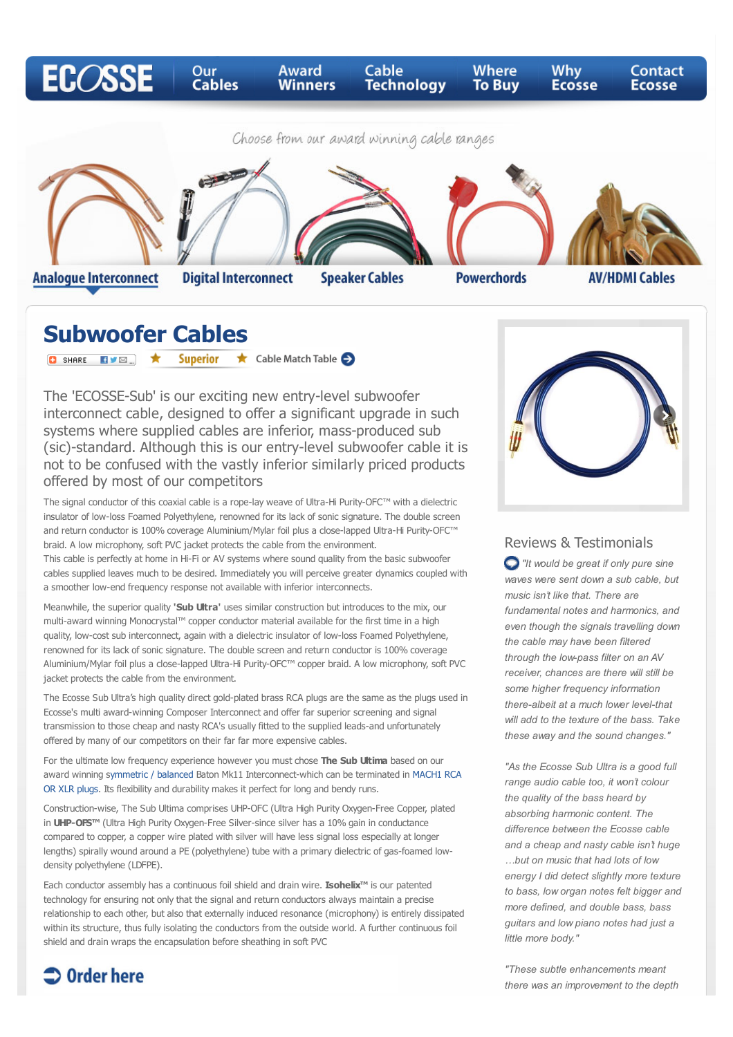

**Speaker Cables** 

**Powerchords** 

**Subwoofer Cables**

**Analogue Interconnect** 

**O** SHARE EVE } **Superior**  $\star$  Cable Match Table  $\bullet$ 

**Digital Interconnect** 

The 'ECOSSE-Sub' is our exciting new entry-level subwoofer interconnect cable, designed to offer a significant upgrade in such systems where supplied cables are inferior, mass-produced sub (sic)-standard. Although this is our entry-level subwoofer cable it is not to be confused with the vastly inferior similarly priced products offered by most of our competitors

The signal conductor of this coaxial cable is a rope-lay weave of Ultra-Hi Purity-OFC™ with a dielectric insulator of low-loss Foamed Polyethylene, renowned for its lack of sonic signature. The double screen and return conductor is 100% coverage Aluminium/Mylar foil plus a close-lapped Ultra-Hi Purity-OFC™ braid. A low microphony, soft PVC jacket protects the cable from the environment.

This cable is perfectly at home in Hi-Fi or AV systems where sound quality from the basic subwoofer cables supplied leaves much to be desired. Immediately you will perceive greater dynamics coupled with a smoother low-end frequency response not available with inferior interconnects.

Meanwhile, the superior quality **'Sub Ultra'** uses similar construction but introduces to the mix, our multi-award winning Monocrystal™ copper conductor material available for the first time in a high quality, low-cost sub interconnect, again with a dielectric insulator of low-loss Foamed Polyethylene, renowned for its lack of sonic signature. The double screen and return conductor is 100% coverage Aluminium/Mylar foil plus a close-lapped Ultra-Hi Purity-OFC™ copper braid. A low microphony, soft PVC jacket protects the cable from the environment.

The Ecosse Sub Ultra's high quality direct gold-plated brass RCA plugs are the same as the plugs used in Ecosse's multi award-winning Composer Interconnect and offer far superior screening and signal transmission to those cheap and nasty RCA's usually fitted to the supplied leads-and unfortunately offered by many of our competitors on their far far more expensive cables.

For the ultimate low frequency experience however you must chose **The Sub Ultima** based on our [award winning symmetric / balanced Baton Mk11 Interconnect-which can be terminated in MACH1 RCA](http://www.paulnimmo.co.uk/ecosse/cable-technology.html#interconnect) OR XLR plugs. Its flexibility and durability makes it perfect for long and bendy runs.

Construction-wise, The Sub Ultima comprises UHP-OFC (Ultra High Purity Oxygen-Free Copper, plated in **UHP-OFS™** (Ultra High Purity Oxygen-Free Silver-since silver has a 10% gain in conductance compared to copper, a copper wire plated with silver will have less signal loss especially at longer lengths) spirally wound around a PE (polyethylene) tube with a primary dielectric of gas-foamed lowdensity polyethylene (LDFPE).

Each conductor assembly has a continuous foil shield and drain wire. **Isohelix™** is our patented technology for ensuring not only that the signal and return conductors always maintain a precise relationship to each other, but also that externally induced resonance (microphony) is entirely dissipated within its structure, thus fully isolating the conductors from the outside world. A further continuous foil shield and drain wraps the encapsulation before sheathing in soft PVC

 $\supset$  Order here



**AV/HDMI Cables** 

#### Reviews & Testimonials

*"It would be great if only pure sine waves were sent down a sub cable, but music isn't like that. There are fundamental notes and harmonics, and even though the signals travelling down the cable may have been filtered through the low-pass filter on an AV receiver, chances are there will still be some higher frequency information there-albeit at a much lower level-that will add to the texture of the bass. Take these away and the sound changes."*

*"As the Ecosse Sub Ultra is a good full range audio cable too, it won't colour the quality of the bass heard by absorbing harmonic content. The difference between the Ecosse cable and a cheap and nasty cable isn't huge …but on music that had lots of low energy I did detect slightly more texture to bass, low organ notes felt bigger and more defined, and double bass, bass guitars and low piano notes had just a little more body."*

*"These subtle enhancements meant there was an improvement to the depth*